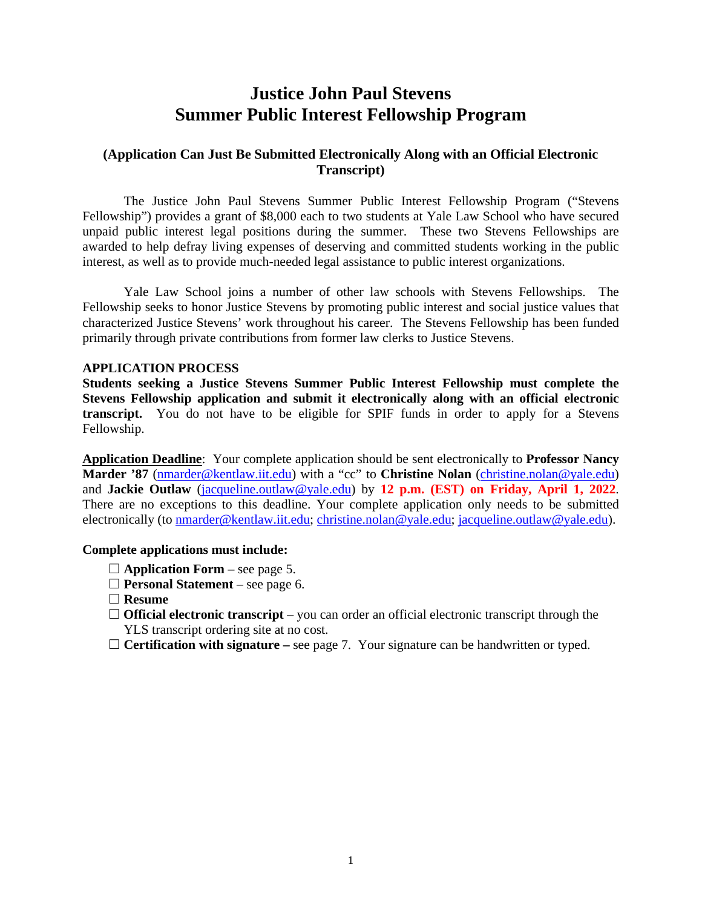# **Justice John Paul Stevens Summer Public Interest Fellowship Program**

## **(Application Can Just Be Submitted Electronically Along with an Official Electronic Transcript)**

The Justice John Paul Stevens Summer Public Interest Fellowship Program ("Stevens Fellowship") provides a grant of \$8,000 each to two students at Yale Law School who have secured unpaid public interest legal positions during the summer. These two Stevens Fellowships are awarded to help defray living expenses of deserving and committed students working in the public interest, as well as to provide much-needed legal assistance to public interest organizations.

Yale Law School joins a number of other law schools with Stevens Fellowships. The Fellowship seeks to honor Justice Stevens by promoting public interest and social justice values that characterized Justice Stevens' work throughout his career. The Stevens Fellowship has been funded primarily through private contributions from former law clerks to Justice Stevens.

#### **APPLICATION PROCESS**

**Students seeking a Justice Stevens Summer Public Interest Fellowship must complete the Stevens Fellowship application and submit it electronically along with an official electronic transcript.** You do not have to be eligible for SPIF funds in order to apply for a Stevens Fellowship.

**Application Deadline**: Your complete application should be sent electronically to **Professor Nancy Marder '87** [\(nmarder@kentlaw.iit.edu\)](mailto:nmarder@kentlaw.edu) with a "cc" to **Christine Nolan** [\(christine.nolan@yale.edu\)](mailto:christine.nolan@yale.edu) and **Jackie Outlaw** [\(jacqueline.outlaw@yale.edu\)](mailto:jacqueline.outlaw@yale.edu) by **12 p.m. (EST) on Friday, April 1, 2022**. There are no exceptions to this deadline. Your complete application only needs to be submitted electronically (to [nmarder@kentlaw.iit.edu;](mailto:nmarder@kentlaw.iit.edu) [christine.nolan@yale.edu;](mailto:christine.nolan@yale.edu) [jacqueline.outlaw@yale.edu\)](mailto:jacqueline.outlaw@yale.edu).

#### **Complete applications must include:**

- $\Box$  **Application Form** see page 5.
- **Personal Statement** see page 6.
- **Resume**
- □ **Official electronic transcript** you can order an official electronic transcript through the YLS transcript ordering site at no cost.
- **Certification with signature –** see page 7. Your signature can be handwritten or typed.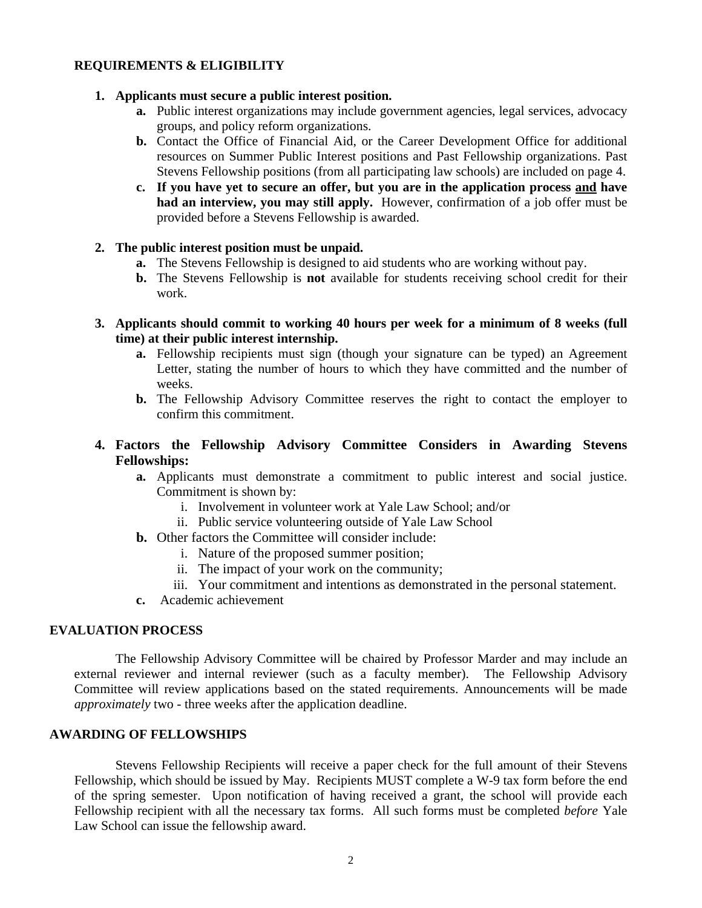## **REQUIREMENTS & ELIGIBILITY**

#### **1. Applicants must secure a public interest position.**

- **a.** Public interest organizations may include government agencies, legal services, advocacy groups, and policy reform organizations.
- **b.** Contact the Office of Financial Aid, or the Career Development Office for additional resources on Summer Public Interest positions and Past Fellowship organizations. Past Stevens Fellowship positions (from all participating law schools) are included on page 4.
- **c. If you have yet to secure an offer, but you are in the application process and have had an interview, you may still apply.** However, confirmation of a job offer must be provided before a Stevens Fellowship is awarded.

### **2. The public interest position must be unpaid.**

- **a.** The Stevens Fellowship is designed to aid students who are working without pay.
- **b.** The Stevens Fellowship is **not** available for students receiving school credit for their work.
- **3. Applicants should commit to working 40 hours per week for a minimum of 8 weeks (full time) at their public interest internship.**
	- **a.** Fellowship recipients must sign (though your signature can be typed) an Agreement Letter, stating the number of hours to which they have committed and the number of weeks.
	- **b.** The Fellowship Advisory Committee reserves the right to contact the employer to confirm this commitment.

## **4. Factors the Fellowship Advisory Committee Considers in Awarding Stevens Fellowships:**

- **a.** Applicants must demonstrate a commitment to public interest and social justice. Commitment is shown by:
	- i. Involvement in volunteer work at Yale Law School; and/or
	- ii. Public service volunteering outside of Yale Law School
- **b.** Other factors the Committee will consider include:
	- i. Nature of the proposed summer position;
	- ii. The impact of your work on the community;
	- iii. Your commitment and intentions as demonstrated in the personal statement.
- **c.** Academic achievement

### **EVALUATION PROCESS**

The Fellowship Advisory Committee will be chaired by Professor Marder and may include an external reviewer and internal reviewer (such as a faculty member). The Fellowship Advisory Committee will review applications based on the stated requirements. Announcements will be made *approximately* two - three weeks after the application deadline.

### **AWARDING OF FELLOWSHIPS**

Stevens Fellowship Recipients will receive a paper check for the full amount of their Stevens Fellowship, which should be issued by May. Recipients MUST complete a W-9 tax form before the end of the spring semester. Upon notification of having received a grant, the school will provide each Fellowship recipient with all the necessary tax forms. All such forms must be completed *before* Yale Law School can issue the fellowship award.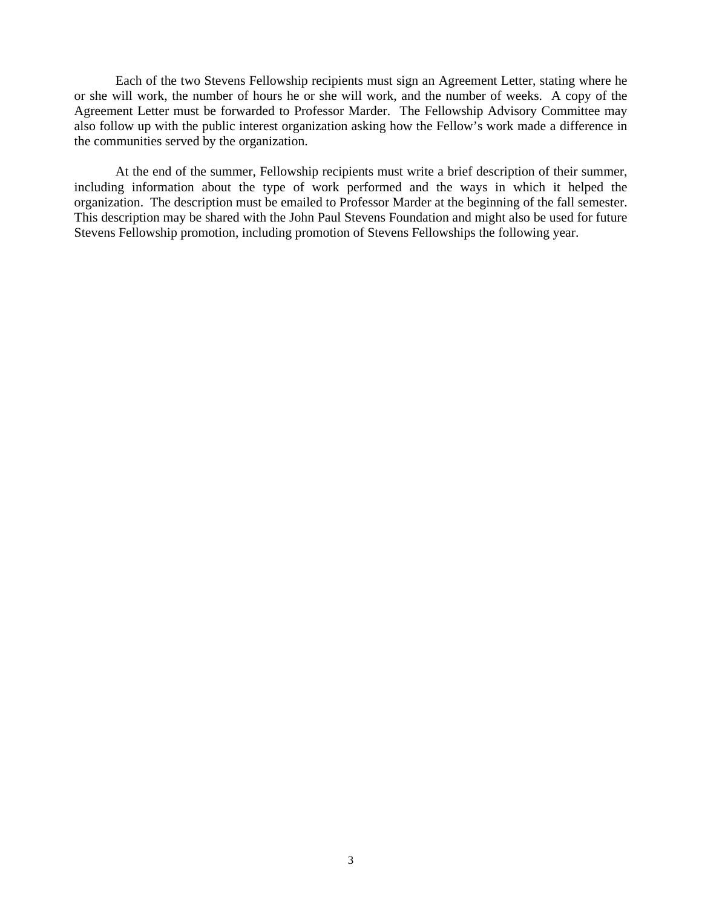Each of the two Stevens Fellowship recipients must sign an Agreement Letter, stating where he or she will work, the number of hours he or she will work, and the number of weeks. A copy of the Agreement Letter must be forwarded to Professor Marder. The Fellowship Advisory Committee may also follow up with the public interest organization asking how the Fellow's work made a difference in the communities served by the organization.

At the end of the summer, Fellowship recipients must write a brief description of their summer, including information about the type of work performed and the ways in which it helped the organization. The description must be emailed to Professor Marder at the beginning of the fall semester. This description may be shared with the John Paul Stevens Foundation and might also be used for future Stevens Fellowship promotion, including promotion of Stevens Fellowships the following year.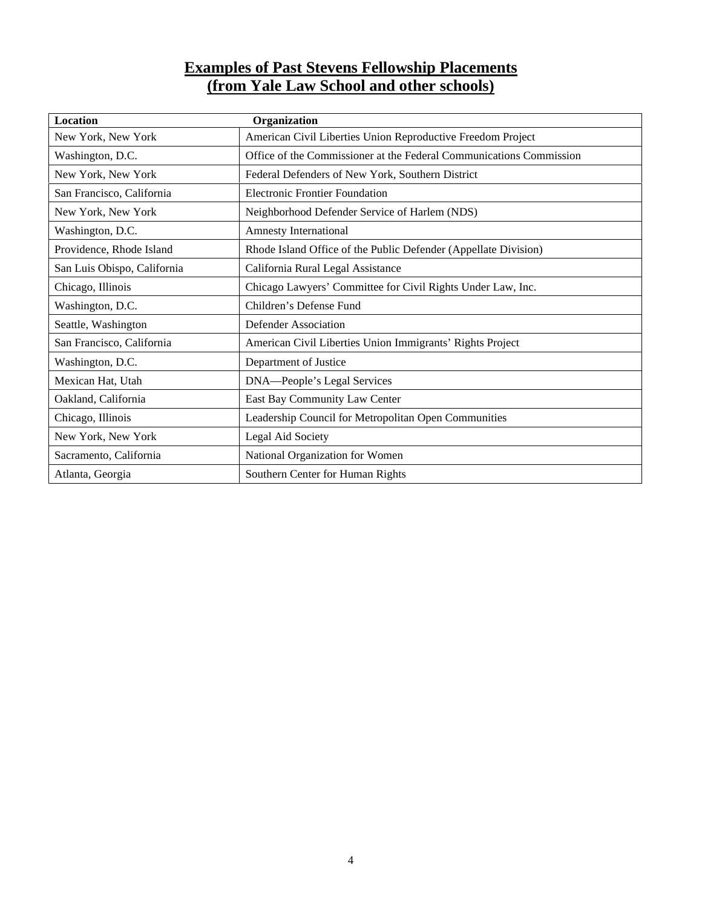## **Examples of Past Stevens Fellowship Placements (from Yale Law School and other schools)**

| Location                    | Organization                                                        |
|-----------------------------|---------------------------------------------------------------------|
| New York, New York          | American Civil Liberties Union Reproductive Freedom Project         |
| Washington, D.C.            | Office of the Commissioner at the Federal Communications Commission |
| New York, New York          | Federal Defenders of New York, Southern District                    |
| San Francisco, California   | <b>Electronic Frontier Foundation</b>                               |
| New York, New York          | Neighborhood Defender Service of Harlem (NDS)                       |
| Washington, D.C.            | <b>Amnesty International</b>                                        |
| Providence, Rhode Island    | Rhode Island Office of the Public Defender (Appellate Division)     |
| San Luis Obispo, California | California Rural Legal Assistance                                   |
| Chicago, Illinois           | Chicago Lawyers' Committee for Civil Rights Under Law, Inc.         |
| Washington, D.C.            | Children's Defense Fund                                             |
| Seattle, Washington         | Defender Association                                                |
| San Francisco, California   | American Civil Liberties Union Immigrants' Rights Project           |
| Washington, D.C.            | Department of Justice                                               |
| Mexican Hat, Utah           | DNA-People's Legal Services                                         |
| Oakland, California         | East Bay Community Law Center                                       |
| Chicago, Illinois           | Leadership Council for Metropolitan Open Communities                |
| New York, New York          | Legal Aid Society                                                   |
| Sacramento, California      | National Organization for Women                                     |
| Atlanta, Georgia            | Southern Center for Human Rights                                    |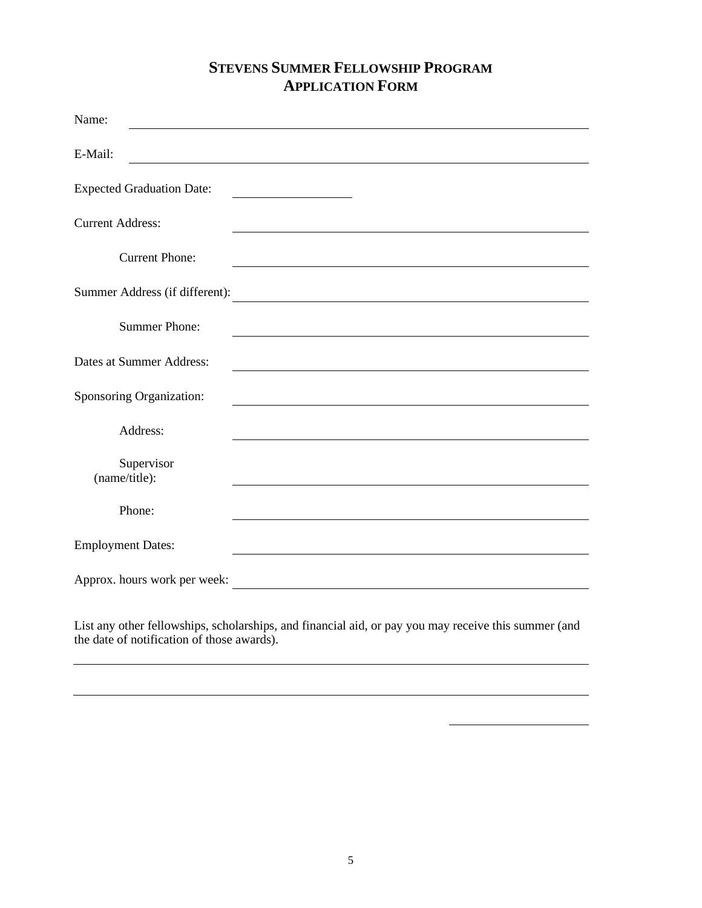## **STEVENS SUMMER FELLOWSHIP PROGRAM APPLICATION FORM**

| Name:                            |                                                                                                                       |
|----------------------------------|-----------------------------------------------------------------------------------------------------------------------|
| E-Mail:                          |                                                                                                                       |
| <b>Expected Graduation Date:</b> | <u> 1980 - Johann Barbara, martin a</u>                                                                               |
| <b>Current Address:</b>          |                                                                                                                       |
| <b>Current Phone:</b>            |                                                                                                                       |
| Summer Address (if different):   |                                                                                                                       |
| <b>Summer Phone:</b>             |                                                                                                                       |
| Dates at Summer Address:         |                                                                                                                       |
| Sponsoring Organization:         |                                                                                                                       |
| Address:                         |                                                                                                                       |
| Supervisor<br>(name/title):      |                                                                                                                       |
| Phone:                           |                                                                                                                       |
| <b>Employment Dates:</b>         |                                                                                                                       |
| Approx. hours work per week:     | <u> 1989 - Johann Stoff, deutscher Stoffen und der Stoffen und der Stoffen und der Stoffen und der Stoffen und de</u> |

List any other fellowships, scholarships, and financial aid, or pay you may receive this summer (and the date of notification of those awards).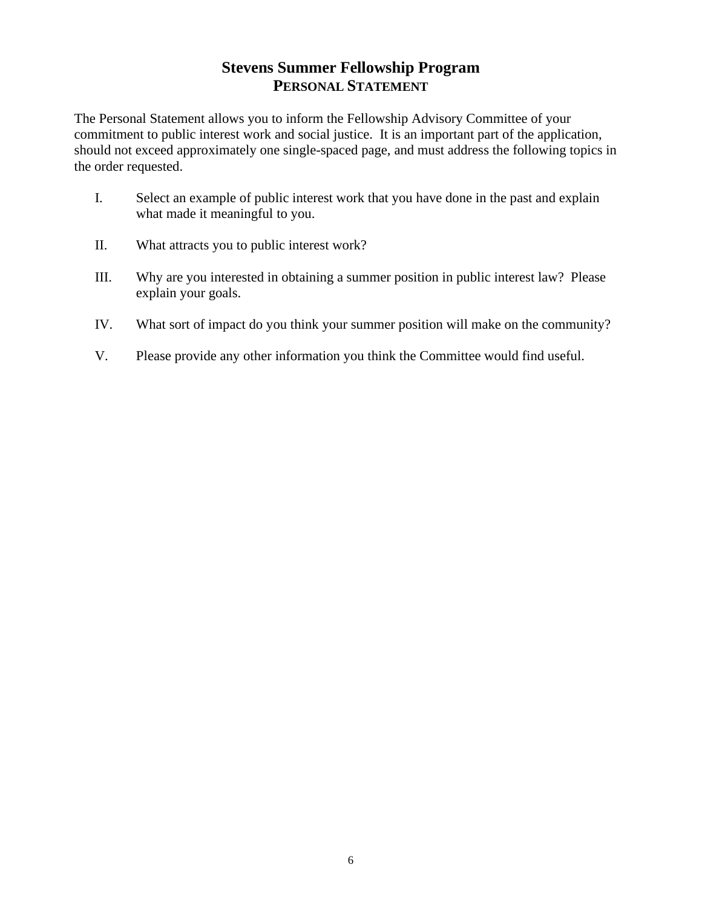## **Stevens Summer Fellowship Program PERSONAL STATEMENT**

The Personal Statement allows you to inform the Fellowship Advisory Committee of your commitment to public interest work and social justice. It is an important part of the application, should not exceed approximately one single-spaced page, and must address the following topics in the order requested.

- I. Select an example of public interest work that you have done in the past and explain what made it meaningful to you.
- II. What attracts you to public interest work?
- III. Why are you interested in obtaining a summer position in public interest law? Please explain your goals.
- IV. What sort of impact do you think your summer position will make on the community?
- V. Please provide any other information you think the Committee would find useful.